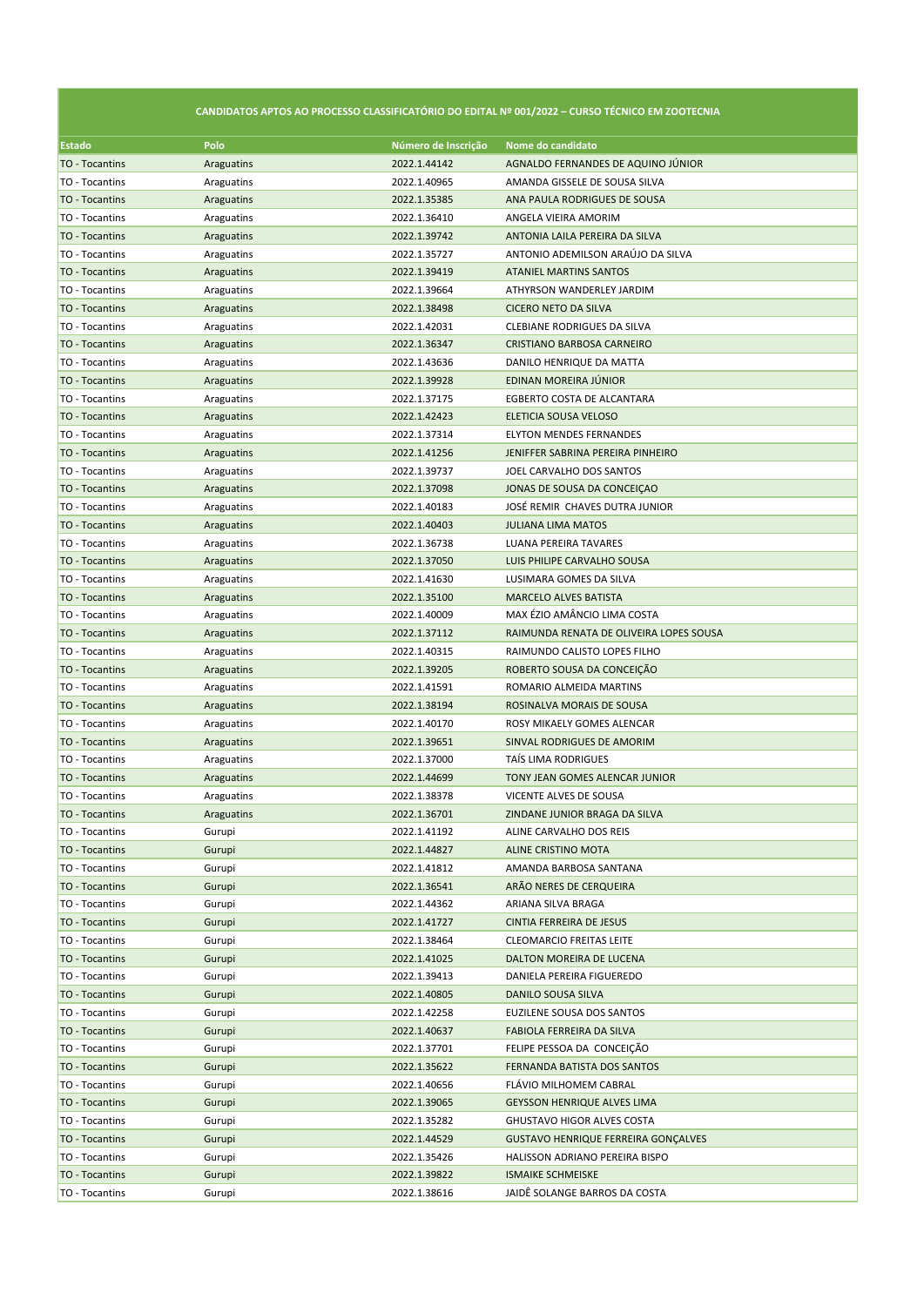## **CANDIDATOS APTOS AO PROCESSO CLASSIFICATÓRIO DO EDITAL Nº 001/2022 – CURSO TÉCNICO EM ZOOTECNIA**

| Estado                | Polo       | Número de Inscrição | Nome do candidato                                       |
|-----------------------|------------|---------------------|---------------------------------------------------------|
| TO - Tocantins        | Araguatins | 2022.1.44142        | AGNALDO FERNANDES DE AQUINO JÚNIOR                      |
| TO - Tocantins        | Araguatins | 2022.1.40965        | AMANDA GISSELE DE SOUSA SILVA                           |
| TO - Tocantins        | Araguatins | 2022.1.35385        | ANA PAULA RODRIGUES DE SOUSA                            |
| TO - Tocantins        | Araguatins | 2022.1.36410        | ANGELA VIEIRA AMORIM                                    |
| TO - Tocantins        | Araguatins | 2022.1.39742        | ANTONIA LAILA PEREIRA DA SILVA                          |
| TO - Tocantins        | Araguatins | 2022.1.35727        | ANTONIO ADEMILSON ARAÚJO DA SILVA                       |
| TO - Tocantins        | Araguatins | 2022.1.39419        | <b>ATANIEL MARTINS SANTOS</b>                           |
| TO - Tocantins        | Araguatins | 2022.1.39664        | ATHYRSON WANDERLEY JARDIM                               |
| TO - Tocantins        | Araguatins | 2022.1.38498        | CICERO NETO DA SILVA                                    |
| TO - Tocantins        | Araguatins | 2022.1.42031        | CLEBIANE RODRIGUES DA SILVA                             |
| TO - Tocantins        | Araguatins | 2022.1.36347        | CRISTIANO BARBOSA CARNEIRO                              |
| TO - Tocantins        | Araguatins | 2022.1.43636        | DANILO HENRIQUE DA MATTA                                |
| TO - Tocantins        | Araguatins | 2022.1.39928        | EDINAN MOREIRA JÚNIOR                                   |
| TO - Tocantins        | Araguatins | 2022.1.37175        | EGBERTO COSTA DE ALCANTARA                              |
| TO - Tocantins        | Araguatins | 2022.1.42423        | ELETICIA SOUSA VELOSO                                   |
| TO - Tocantins        | Araguatins | 2022.1.37314        | <b>ELYTON MENDES FERNANDES</b>                          |
| TO - Tocantins        | Araguatins | 2022.1.41256        | JENIFFER SABRINA PEREIRA PINHEIRO                       |
| TO - Tocantins        | Araguatins | 2022.1.39737        | JOEL CARVALHO DOS SANTOS                                |
| TO - Tocantins        | Araguatins | 2022.1.37098        | JONAS DE SOUSA DA CONCEIÇÃO                             |
| TO - Tocantins        | Araguatins | 2022.1.40183        | JOSÉ REMIR CHAVES DUTRA JUNIOR                          |
| TO - Tocantins        | Araguatins | 2022.1.40403        | <b>JULIANA LIMA MATOS</b>                               |
| TO - Tocantins        | Araguatins | 2022.1.36738        | LUANA PEREIRA TAVARES                                   |
| TO - Tocantins        | Araguatins | 2022.1.37050        | LUIS PHILIPE CARVALHO SOUSA                             |
| TO - Tocantins        | Araguatins | 2022.1.41630        | LUSIMARA GOMES DA SILVA                                 |
| <b>TO - Tocantins</b> | Araguatins | 2022.1.35100        | <b>MARCELO ALVES BATISTA</b>                            |
| TO - Tocantins        | Araguatins | 2022.1.40009        | MAX ÉZIO AMÂNCIO LIMA COSTA                             |
| TO - Tocantins        | Araguatins | 2022.1.37112        | RAIMUNDA RENATA DE OLIVEIRA LOPES SOUSA                 |
| TO - Tocantins        | Araguatins | 2022.1.40315        | RAIMUNDO CALISTO LOPES FILHO                            |
| TO - Tocantins        | Araguatins | 2022.1.39205        | ROBERTO SOUSA DA CONCEIÇÃO                              |
| TO - Tocantins        | Araguatins | 2022.1.41591        | ROMARIO ALMEIDA MARTINS                                 |
| TO - Tocantins        | Araguatins | 2022.1.38194        | ROSINALVA MORAIS DE SOUSA                               |
| TO - Tocantins        | Araguatins | 2022.1.40170        | ROSY MIKAELY GOMES ALENCAR                              |
| TO - Tocantins        | Araguatins | 2022.1.39651        | SINVAL RODRIGUES DE AMORIM                              |
| TO - Tocantins        | Araguatins | 2022.1.37000        | TAIS LIMA RODRIGUES                                     |
| TO - Tocantins        | Araguatins | 2022.1.44699        | TONY JEAN GOMES ALENCAR JUNIOR                          |
| TO - Tocantins        | Araguatins | 2022.1.38378        | VICENTE ALVES DE SOUSA                                  |
| TO - Tocantins        | Araguatins | 2022.1.36701        | ZINDANE JUNIOR BRAGA DA SILVA                           |
| TO - Tocantins        | Gurupi     | 2022.1.41192        | ALINE CARVALHO DOS REIS                                 |
| TO - Tocantins        | Gurupi     | 2022.1.44827        | ALINE CRISTINO MOTA                                     |
| TO - Tocantins        | Gurupi     | 2022.1.41812        | AMANDA BARBOSA SANTANA                                  |
| TO - Tocantins        | Gurupi     | 2022.1.36541        | ARÃO NERES DE CERQUEIRA                                 |
| TO - Tocantins        | Gurupi     | 2022.1.44362        | ARIANA SILVA BRAGA                                      |
| TO - Tocantins        | Gurupi     | 2022.1.41727        | CINTIA FERREIRA DE JESUS                                |
| TO - Tocantins        | Gurupi     | 2022.1.38464        | <b>CLEOMARCIO FREITAS LEITE</b>                         |
| TO - Tocantins        | Gurupi     | 2022.1.41025        | DALTON MOREIRA DE LUCENA                                |
| TO - Tocantins        | Gurupi     | 2022.1.39413        | DANIELA PEREIRA FIGUEREDO                               |
| TO - Tocantins        | Gurupi     | 2022.1.40805        | <b>DANILO SOUSA SILVA</b>                               |
|                       |            |                     |                                                         |
| TO - Tocantins        | Gurupi     | 2022.1.42258        | EUZILENE SOUSA DOS SANTOS                               |
| TO - Tocantins        | Gurupi     | 2022.1.40637        | FABIOLA FERREIRA DA SILVA<br>FELIPE PESSOA DA CONCEIÇÃO |
| TO - Tocantins        | Gurupi     | 2022.1.37701        |                                                         |
| TO - Tocantins        | Gurupi     | 2022.1.35622        | FERNANDA BATISTA DOS SANTOS                             |
| TO - Tocantins        | Gurupi     | 2022.1.40656        | FLAVIO MILHOMEM CABRAL                                  |
| TO - Tocantins        | Gurupi     | 2022.1.39065        | <b>GEYSSON HENRIQUE ALVES LIMA</b>                      |
| TO - Tocantins        | Gurupi     | 2022.1.35282        | GHUSTAVO HIGOR ALVES COSTA                              |
| TO - Tocantins        | Gurupi     | 2022.1.44529        | <b>GUSTAVO HENRIQUE FERREIRA GONÇALVES</b>              |
| TO - Tocantins        | Gurupi     | 2022.1.35426        | HALISSON ADRIANO PEREIRA BISPO                          |
| TO - Tocantins        | Gurupi     | 2022.1.39822        | <b>ISMAIKE SCHMEISKE</b>                                |
| TO - Tocantins        | Gurupi     | 2022.1.38616        | JAIDE SOLANGE BARROS DA COSTA                           |